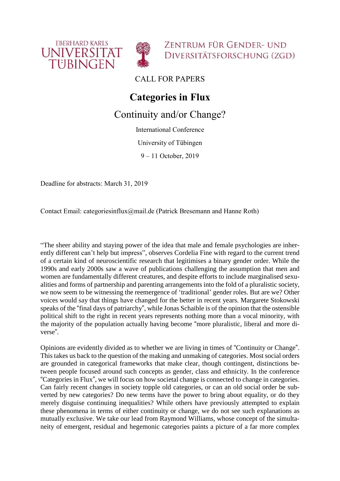



ZENTRUM FÜR GENDER- UND DIVERSITÄTSFORSCHUNG (ZGD)

CALL FOR PAPERS

## **Categories in Flux**

## Continuity and/or Change?

International Conference

University of Tübingen

9 – 11 October, 2019

Deadline for abstracts: March 31, 2019

Contact Email: categoriesinflux@mail.de (Patrick Bresemann and Hanne Roth)

"The sheer ability and staying power of the idea that male and female psychologies are inherently different can't help but impress", observes Cordelia Fine with regard to the current trend of a certain kind of neuroscientific research that legitimises a binary gender order. While the 1990s and early 2000s saw a wave of publications challenging the assumption that men and women are fundamentally different creatures, and despite efforts to include marginalised sexualities and forms of partnership and parenting arrangements into the fold of a pluralistic society, we now seem to be witnessing the reemergence of 'traditional' gender roles. But are we? Other voices would say that things have changed for the better in recent years. Margarete Stokowski speaks of the "final days of patriarchy", while Jonas Schaible is of the opinion that the ostensible political shift to the right in recent years represents nothing more than a vocal minority, with the majority of the population actually having become "more pluralistic, liberal and more diverse".

Opinions are evidently divided as to whether we are living in times of "Continuity or Change". This takes us back to the question of the making and unmaking of categories. Most social orders are grounded in categorical frameworks that make clear, though contingent, distinctions between people focused around such concepts as gender, class and ethnicity. In the conference "Categories in Flux", we will focus on how societal change is connected to change in categories. Can fairly recent changes in society topple old categories, or can an old social order be subverted by new categories? Do new terms have the power to bring about equality, or do they merely disguise continuing inequalities? While others have previously attempted to explain these phenomena in terms of either continuity or change, we do not see such explanations as mutually exclusive. We take our lead from Raymond Williams, whose concept of the simultaneity of emergent, residual and hegemonic categories paints a picture of a far more complex